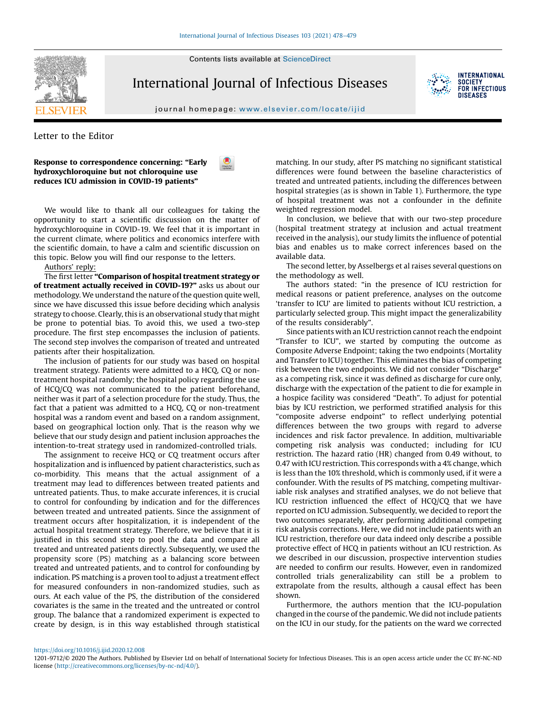Contents lists available at [ScienceDirect](http://www.sciencedirect.com/science/journal/12019712)



International Journal of Infectious Diseases



**INTERNATIONAL SOCIETY FOR INFECTIOUS** DISFASES

journal homepage: <www.elsevier.com/locate/ijid>

Letter to the Editor

Response to correspondence concerning: "Early hydroxychloroquine but not chloroquine use reduces ICU admission in COVID-19 patients"

We would like to thank all our colleagues for taking the opportunity to start a scientific discussion on the matter of hydroxychloroquine in COVID-19. We feel that it is important in the current climate, where politics and economics interfere with the scientific domain, to have a calm and scientific discussion on this topic. Below you will find our response to the letters.

## Authors' reply:

The first letter "Comparison of hospital treatment strategy or of treatment actually received in COVID-19?" asks us about our methodology. We understand the nature of the question quite well, since we have discussed this issue before deciding which analysis strategy to choose. Clearly, this is an observational study that might be prone to potential bias. To avoid this, we used a two-step procedure. The first step encompasses the inclusion of patients. The second step involves the comparison of treated and untreated patients after their hospitalization.

The inclusion of patients for our study was based on hospital treatment strategy. Patients were admitted to a HCQ, CQ or nontreatment hospital randomly; the hospital policy regarding the use of HCQ/CQ was not communicated to the patient beforehand, neither was it part of a selection procedure for the study. Thus, the fact that a patient was admitted to a HCQ, CQ or non-treatment hospital was a random event and based on a random assignment, based on geographical loction only. That is the reason why we believe that our study design and patient inclusion approaches the intention-to-treat strategy used in randomized-controlled trials.

The assignment to receive HCQ or CQ treatment occurs after hospitalization and is influenced by patient characteristics, such as co-morbidity. This means that the actual assignment of a treatment may lead to differences between treated patients and untreated patients. Thus, to make accurate inferences, it is crucial to control for confounding by indication and for the differences between treated and untreated patients. Since the assignment of treatment occurs after hospitalization, it is independent of the actual hospital treatment strategy. Therefore, we believe that it is justified in this second step to pool the data and compare all treated and untreated patients directly. Subsequently, we used the propensity score (PS) matching as a balancing score between treated and untreated patients, and to control for confounding by indication. PS matching is a proven tool to adjust a treatment effect for measured confounders in non-randomized studies, such as ours. At each value of the PS, the distribution of the considered covariates is the same in the treated and the untreated or control group. The balance that a randomized experiment is expected to create by design, is in this way established through statistical

matching. In our study, after PS matching no significant statistical differences were found between the baseline characteristics of treated and untreated patients, including the differences between hospital strategies (as is shown in Table 1). Furthermore, the type of hospital treatment was not a confounder in the definite weighted regression model.

In conclusion, we believe that with our two-step procedure (hospital treatment strategy at inclusion and actual treatment received in the analysis), our study limits the influence of potential bias and enables us to make correct inferences based on the available data.

The second letter, by Asselbergs et al raises several questions on the methodology as well.

The authors stated: "in the presence of ICU restriction for medical reasons or patient preference, analyses on the outcome 'transfer to ICU' are limited to patients without ICU restriction, a particularly selected group. This might impact the generalizability of the results considerably".

Since patients with an ICU restriction cannot reach the endpoint "Transfer to ICU", we started by computing the outcome as Composite Adverse Endpoint; taking the two endpoints (Mortality and Transfer to ICU) together. This eliminates the bias of competing risk between the two endpoints. We did not consider "Discharge" as a competing risk, since it was defined as discharge for cure only, discharge with the expectation of the patient to die for example in a hospice facility was considered "Death". To adjust for potential bias by ICU restriction, we performed stratified analysis for this "composite adverse endpoint" to reflect underlying potential differences between the two groups with regard to adverse incidences and risk factor prevalence. In addition, multivariable competing risk analysis was conducted; including for ICU restriction. The hazard ratio (HR) changed from 0.49 without, to 0.47 with ICU restriction. This corresponds with a 4% change, which is less than the 10% threshold, which is commonly used, if it were a confounder. With the results of PS matching, competing multivariable risk analyses and stratified analyses, we do not believe that ICU restriction influenced the effect of HCQ/CQ that we have reported on ICU admission. Subsequently, we decided to report the two outcomes separately, after performing additional competing risk analysis corrections. Here, we did not include patients with an ICU restriction, therefore our data indeed only describe a possible protective effect of HCQ in patients without an ICU restriction. As we described in our discussion, prospective intervention studies are needed to confirm our results. However, even in randomized controlled trials generalizability can still be a problem to extrapolate from the results, although a causal effect has been shown.

Furthermore, the authors mention that the ICU-population changed in the course of the pandemic. We did not include patients on the ICU in our study, for the patients on the ward we corrected

<https://doi.org/10.1016/j.ijid.2020.12.008>



<sup>1201-9712/©</sup> 2020 The Authors. Published by Elsevier Ltd on behalf of International Society for Infectious Diseases. This is an open access article under the CC BY-NC-ND license [\(http://creativecommons.org/licenses/by-nc-nd/4.0/\)](http://creativecommons.org/licenses/by-nc-nd/4.0/).